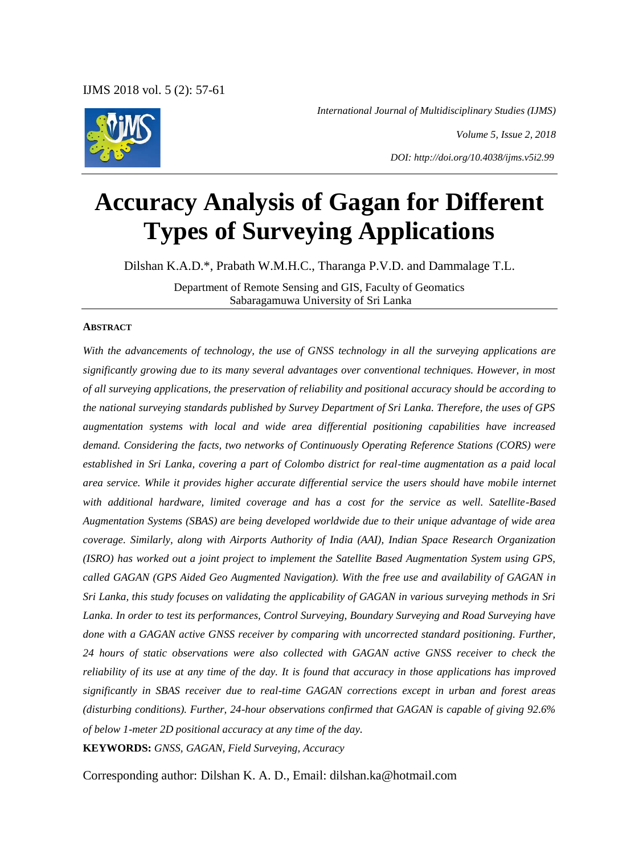*International Journal of Multidisciplinary Studies (IJMS)*

*Volume 5, Issue 2, 2018 DOI: http://doi.org/10.4038/ijms.v5i2.99*

# **Accuracy Analysis of Gagan for Different Types of Surveying Applications**

Dilshan K.A.D.\*, Prabath W.M.H.C., Tharanga P.V.D. and Dammalage T.L.

Department of Remote Sensing and GIS, Faculty of Geomatics Sabaragamuwa University of Sri Lanka

#### **ABSTRACT**

*With the advancements of technology, the use of GNSS technology in all the surveying applications are significantly growing due to its many several advantages over conventional techniques. However, in most of all surveying applications, the preservation of reliability and positional accuracy should be according to the national surveying standards published by Survey Department of Sri Lanka. Therefore, the uses of GPS augmentation systems with local and wide area differential positioning capabilities have increased demand. Considering the facts, two networks of Continuously Operating Reference Stations (CORS) were established in Sri Lanka, covering a part of Colombo district for real-time augmentation as a paid local area service. While it provides higher accurate differential service the users should have mobile internet with additional hardware, limited coverage and has a cost for the service as well. Satellite-Based Augmentation Systems (SBAS) are being developed worldwide due to their unique advantage of wide area coverage. Similarly, along with Airports Authority of India (AAI), Indian Space Research Organization (ISRO) has worked out a joint project to implement the Satellite Based Augmentation System using GPS, called GAGAN (GPS Aided Geo Augmented Navigation). With the free use and availability of GAGAN in Sri Lanka, this study focuses on validating the applicability of GAGAN in various surveying methods in Sri Lanka. In order to test its performances, Control Surveying, Boundary Surveying and Road Surveying have done with a GAGAN active GNSS receiver by comparing with uncorrected standard positioning. Further, 24 hours of static observations were also collected with GAGAN active GNSS receiver to check the reliability of its use at any time of the day. It is found that accuracy in those applications has improved significantly in SBAS receiver due to real-time GAGAN corrections except in urban and forest areas (disturbing conditions). Further, 24-hour observations confirmed that GAGAN is capable of giving 92.6% of below 1-meter 2D positional accuracy at any time of the day.*

**KEYWORDS:** *GNSS, GAGAN, Field Surveying, Accuracy*

Corresponding author: Dilshan K. A. D., Email: dilshan.ka@hotmail.com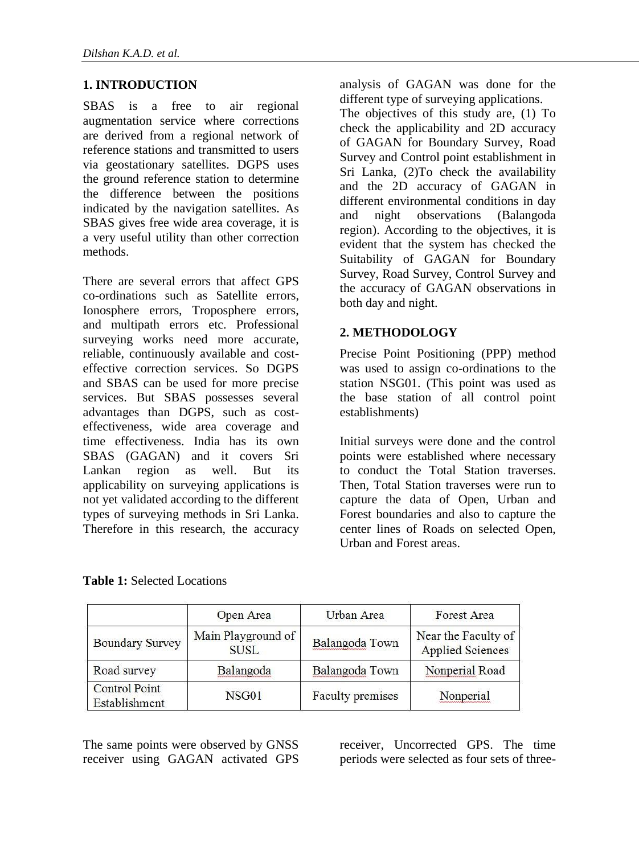## **1. INTRODUCTION**

SBAS is a free to air regional augmentation service where corrections are derived from a regional network of reference stations and transmitted to users via geostationary satellites. DGPS uses the ground reference station to determine the difference between the positions indicated by the navigation satellites. As SBAS gives free wide area coverage, it is a very useful utility than other correction methods.

There are several errors that affect GPS co-ordinations such as Satellite errors, Ionosphere errors, Troposphere errors, and multipath errors etc. Professional surveying works need more accurate, reliable, continuously available and costeffective correction services. So DGPS and SBAS can be used for more precise services. But SBAS possesses several advantages than DGPS, such as costeffectiveness, wide area coverage and time effectiveness. India has its own SBAS (GAGAN) and it covers Sri Lankan region as well. But its applicability on surveying applications is not yet validated according to the different types of surveying methods in Sri Lanka. Therefore in this research, the accuracy analysis of GAGAN was done for the different type of surveying applications.

The objectives of this study are, (1) To check the applicability and 2D accuracy of GAGAN for Boundary Survey, Road Survey and Control point establishment in Sri Lanka, (2)To check the availability and the 2D accuracy of GAGAN in different environmental conditions in day and night observations (Balangoda region). According to the objectives, it is evident that the system has checked the Suitability of GAGAN for Boundary Survey, Road Survey, Control Survey and the accuracy of GAGAN observations in both day and night.

## **2. METHODOLOGY**

Precise Point Positioning (PPP) method was used to assign co-ordinations to the station NSG01. (This point was used as the base station of all control point establishments)

Initial surveys were done and the control points were established where necessary to conduct the Total Station traverses. Then, Total Station traverses were run to capture the data of Open, Urban and Forest boundaries and also to capture the center lines of Roads on selected Open, Urban and Forest areas.

|                                       | Open Area                         | Urban Area       | Forest Area                                    |
|---------------------------------------|-----------------------------------|------------------|------------------------------------------------|
| <b>Boundary Survey</b>                | Main Playground of<br><b>SUSL</b> | Balangoda Town   | Near the Faculty of<br><b>Applied Sciences</b> |
| Road survey                           | Balangoda                         | Balangoda Town   | Nonperial Road                                 |
| <b>Control Point</b><br>Establishment | NSG01                             | Faculty premises | Nonperial                                      |

**Table 1:** Selected Locations

The same points were observed by GNSS receiver using GAGAN activated GPS receiver, Uncorrected GPS. The time periods were selected as four sets of three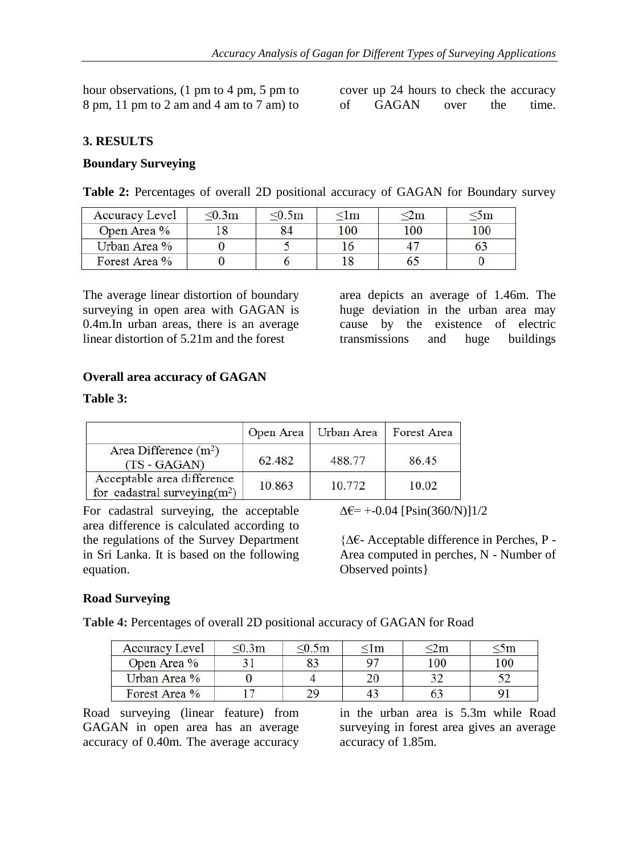hour observations, (1 pm to 4 pm, 5 pm to 8 pm, 11 pm to 2 am and 4 am to 7 am) to

cover up 24 hours to check the accuracy of GAGAN over the time.

## **3. RESULTS**

## **Boundary Surveying**

**Table 2:** Percentages of overall 2D positional accuracy of GAGAN for Boundary survey

| Accuracy Level | $\leq 0.3$ m | $\leq 0.5m$ | ≤lm |     | эm  |
|----------------|--------------|-------------|-----|-----|-----|
| Open Area %    |              |             | 100 | 100 | 100 |
| Urban Area %   |              |             |     |     |     |
| Forest Area %  |              |             |     |     |     |

The average linear distortion of boundary surveying in open area with GAGAN is 0.4m.In urban areas, there is an average linear distortion of 5.21m and the forest

area depicts an average of 1.46m. The huge deviation in the urban area may cause by the existence of electric transmissions and huge buildings

## **Overall area accuracy of GAGAN**

### **Table 3:**

|                                                                |        | Open Area   Urban Area | Forest Area |
|----------------------------------------------------------------|--------|------------------------|-------------|
| Area Difference $(m^2)$<br>$(TS - GAGAN)$                      | 62.482 | 488.77                 | 86.45       |
| Acceptable area difference<br>for cadastral surveying( $m^2$ ) | 10.863 | 10.772                 | 10.02       |

For cadastral surveying, the acceptable area difference is calculated according to the regulations of the Survey Department in Sri Lanka. It is based on the following equation.

 $\Delta \epsilon$ = +-0.04 [Psin(360/N)]1/2

{∆€- Acceptable difference in Perches, P - Area computed in perches, N - Number of Observed points}

## **Road Surveying**

**Table 4:** Percentages of overall 2D positional accuracy of GAGAN for Road

| Accuracy Level | 50.3m | 50.5m | ≤lm |                 | $\mathfrak{m}$ |
|----------------|-------|-------|-----|-----------------|----------------|
| Open Area %    |       |       |     | 00 <sup>1</sup> | 00             |
| Urban Area %   |       |       |     |                 |                |
| Forest Area %  |       |       |     |                 |                |

Road surveying (linear feature) from GAGAN in open area has an average accuracy of 0.40m. The average accuracy in the urban area is 5.3m while Road surveying in forest area gives an average accuracy of 1.85m.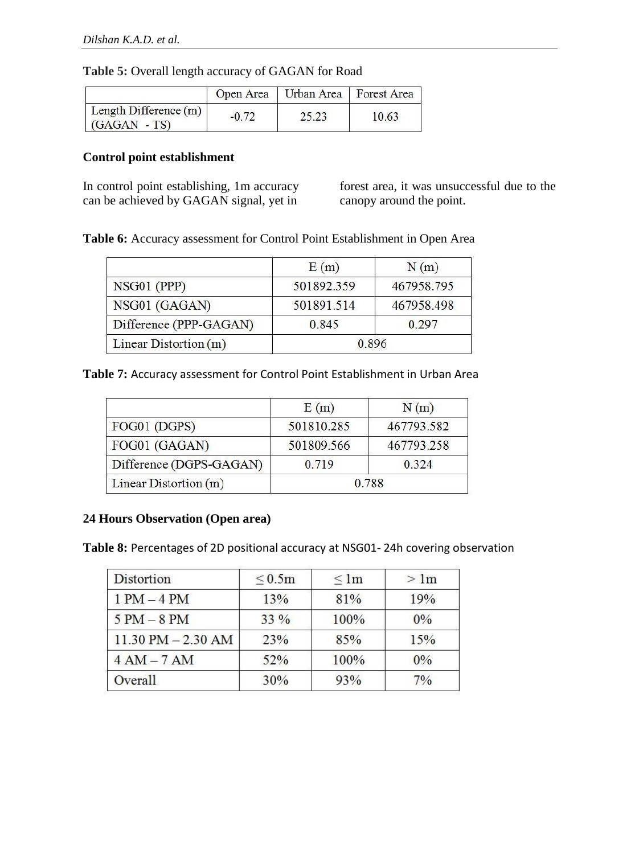## **Table 5:** Overall length accuracy of GAGAN for Road

|                                         |         | Open Area   Urban Area   Forest Area |       |
|-----------------------------------------|---------|--------------------------------------|-------|
| Length Difference (m)<br>$(GAGAN - TS)$ | $-0.72$ | 25.23                                | 10.63 |

## **Control point establishment**

In control point establishing, 1m accuracy can be achieved by GAGAN signal, yet in

forest area, it was unsuccessful due to the canopy around the point.

**Table 6:** Accuracy assessment for Control Point Establishment in Open Area

|                        | E(m)       | N(m)       |
|------------------------|------------|------------|
| NSG01 (PPP)            | 501892.359 | 467958.795 |
| NSG01 (GAGAN)          | 501891.514 | 467958.498 |
| Difference (PPP-GAGAN) | 0.845      | 0 297      |
| Linear Distortion (m)  | 0.896      |            |

**Table 7:** Accuracy assessment for Control Point Establishment in Urban Area

|                         | E(m)       | N(m)       |
|-------------------------|------------|------------|
| FOG01 (DGPS)            | 501810.285 | 467793.582 |
| FOG01 (GAGAN)           | 501809.566 | 467793.258 |
| Difference (DGPS-GAGAN) | 0 7 1 9    | 0.324      |
| Linear Distortion $(m)$ |            | 0.788      |

## **24 Hours Observation (Open area)**

**Table 8:** Percentages of 2D positional accuracy at NSG01- 24h covering observation

| <b>Distortion</b>      | $\leq 0.5m$ | $\leq$ 1m | >1 <sub>m</sub> |
|------------------------|-------------|-----------|-----------------|
| $1 PM - 4 PM$          | 13%         | 81%       | 19%             |
| $5 PM - 8 PM$          | $33\%$      | 100%      | $0\%$           |
| $11.30$ PM $- 2.30$ AM | 23%         | 85%       | 15%             |
| $4AM - 7AM$            | 52%         | 100%      | 0%              |
| Overall                | 30%         | 93%       | $7\%$           |